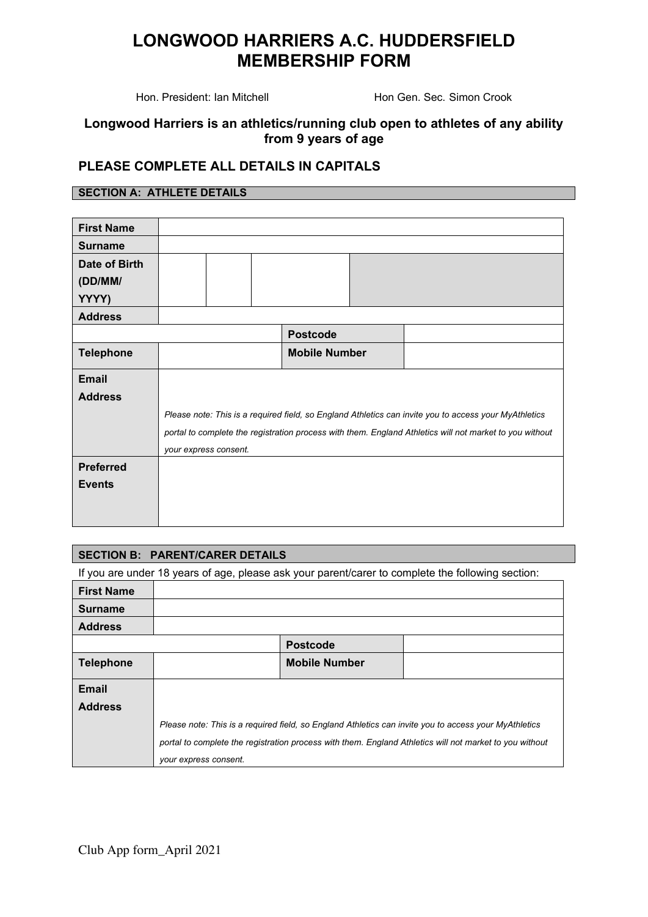Hon. President: Ian Mitchell **Hon Gen. Sec. Simon Crook** 

#### **Longwood Harriers is an athletics/running club open to athletes of any ability from 9 years of age**

### **PLEASE COMPLETE ALL DETAILS IN CAPITALS**

#### **SECTION A: ATHLETE DETAILS**

| <b>First Name</b> |                                                                                                         |  |  |                      |  |  |  |
|-------------------|---------------------------------------------------------------------------------------------------------|--|--|----------------------|--|--|--|
| <b>Surname</b>    |                                                                                                         |  |  |                      |  |  |  |
| Date of Birth     |                                                                                                         |  |  |                      |  |  |  |
| (DD/MM/           |                                                                                                         |  |  |                      |  |  |  |
| YYYY)             |                                                                                                         |  |  |                      |  |  |  |
| <b>Address</b>    |                                                                                                         |  |  |                      |  |  |  |
|                   |                                                                                                         |  |  | <b>Postcode</b>      |  |  |  |
| <b>Telephone</b>  |                                                                                                         |  |  | <b>Mobile Number</b> |  |  |  |
| <b>Email</b>      |                                                                                                         |  |  |                      |  |  |  |
| <b>Address</b>    |                                                                                                         |  |  |                      |  |  |  |
|                   | Please note: This is a required field, so England Athletics can invite you to access your MyAthletics   |  |  |                      |  |  |  |
|                   | portal to complete the registration process with them. England Athletics will not market to you without |  |  |                      |  |  |  |
|                   | your express consent.                                                                                   |  |  |                      |  |  |  |
| <b>Preferred</b>  |                                                                                                         |  |  |                      |  |  |  |
| <b>Events</b>     |                                                                                                         |  |  |                      |  |  |  |
|                   |                                                                                                         |  |  |                      |  |  |  |
|                   |                                                                                                         |  |  |                      |  |  |  |

#### **SECTION B: PARENT/CARER DETAILS**

If you are under 18 years of age, please ask your parent/carer to complete the following section:

| <b>First Name</b> |                                                                                                         |                      |  |  |  |
|-------------------|---------------------------------------------------------------------------------------------------------|----------------------|--|--|--|
| <b>Surname</b>    |                                                                                                         |                      |  |  |  |
| <b>Address</b>    |                                                                                                         |                      |  |  |  |
|                   |                                                                                                         | <b>Postcode</b>      |  |  |  |
| <b>Telephone</b>  |                                                                                                         | <b>Mobile Number</b> |  |  |  |
| <b>Email</b>      |                                                                                                         |                      |  |  |  |
| <b>Address</b>    |                                                                                                         |                      |  |  |  |
|                   | Please note: This is a required field, so England Athletics can invite you to access your MyAthletics   |                      |  |  |  |
|                   | portal to complete the registration process with them. England Athletics will not market to you without |                      |  |  |  |
|                   | your express consent.                                                                                   |                      |  |  |  |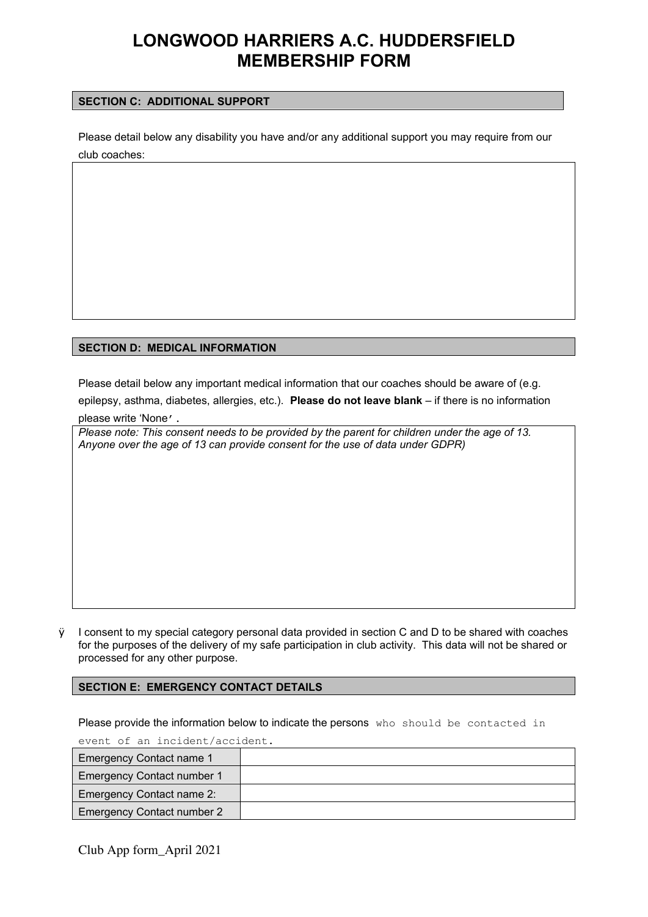#### **SECTION C: ADDITIONAL SUPPORT**

Please detail below any disability you have and/or any additional support you may require from our club coaches:

#### **SECTION D: MEDICAL INFORMATION**

Please detail below any important medical information that our coaches should be aware of (e.g.

epilepsy, asthma, diabetes, allergies, etc.). **Please do not leave blank** – if there is no information please write 'None'.

*Please note: This consent needs to be provided by the parent for children under the age of 13. Anyone over the age of 13 can provide consent for the use of data under GDPR)*

 $\ddot{y}$  I consent to my special category personal data provided in section C and D to be shared with coaches for the purposes of the delivery of my safe participation in club activity. This data will not be shared or processed for any other purpose.

#### **SECTION E: EMERGENCY CONTACT DETAILS**

Please provide the information below to indicate the persons who should be contacted in

event of an incident/accident.

| Emergency Contact name 1          |  |
|-----------------------------------|--|
| <b>Emergency Contact number 1</b> |  |
| Emergency Contact name 2:         |  |
| <b>Emergency Contact number 2</b> |  |

Club App form\_April 2021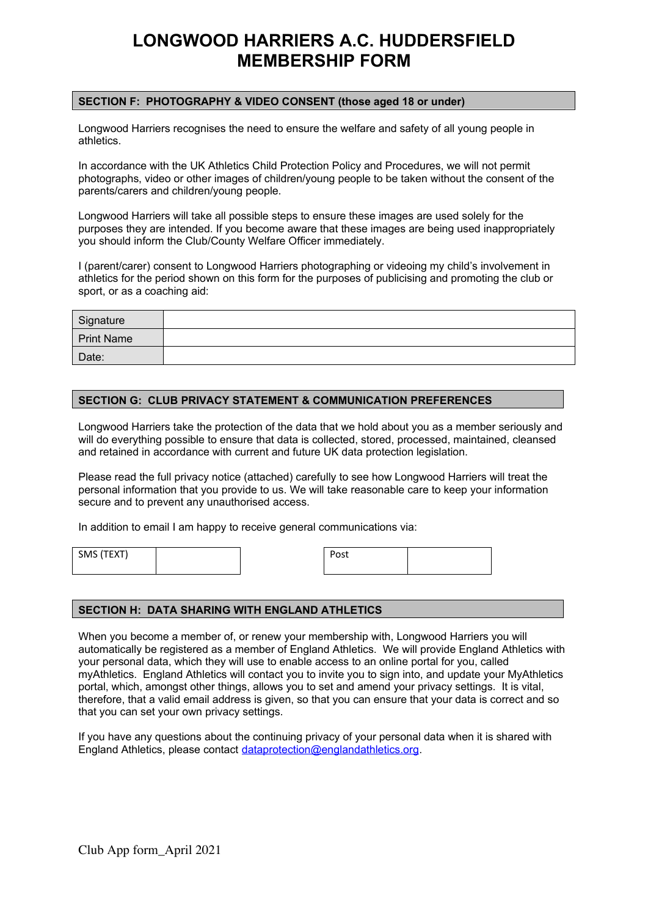#### **SECTION F: PHOTOGRAPHY & VIDEO CONSENT (those aged 18 or under)**

Longwood Harriers recognises the need to ensure the welfare and safety of all young people in athletics.

In accordance with the UK Athletics Child Protection Policy and Procedures, we will not permit photographs, video or other images of children/young people to be taken without the consent of the parents/carers and children/young people.

Longwood Harriers will take all possible steps to ensure these images are used solely for the purposes they are intended. If you become aware that these images are being used inappropriately you should inform the Club/County Welfare Officer immediately.

I (parent/carer) consent to Longwood Harriers photographing or videoing my child's involvement in athletics for the period shown on this form for the purposes of publicising and promoting the club or sport, or as a coaching aid:

| Signature         |  |
|-------------------|--|
| <b>Print Name</b> |  |
| Date:             |  |

#### **SECTION G: CLUB PRIVACY STATEMENT & COMMUNICATION PREFERENCES**

Longwood Harriers take the protection of the data that we hold about you as a member seriously and will do everything possible to ensure that data is collected, stored, processed, maintained, cleansed and retained in accordance with current and future UK data protection legislation.

Please read the full privacy notice (attached) carefully to see how Longwood Harriers will treat the personal information that you provide to us. We will take reasonable care to keep your information secure and to prevent any unauthorised access.

In addition to email I am happy to receive general communications via:

SMS (TEXT) Post

#### **SECTION H: DATA SHARING WITH ENGLAND ATHLETICS**

When you become a member of, or renew your membership with, Longwood Harriers you will automatically be registered as a member of England Athletics. We will provide England Athletics with your personal data, which they will use to enable access to an online portal for you, called myAthletics. England Athletics will contact you to invite you to sign into, and update your MyAthletics portal, which, amongst other things, allows you to set and amend your privacy settings. It is vital, therefore, that a valid email address is given, so that you can ensure that your data is correct and so that you can set your own privacy settings.

If you have any questions about the continuing privacy of your personal data when it is shared with England Athletics, please contact [dataprotection@englandathletics.org](mailto:dataprotection@englandathletics.org).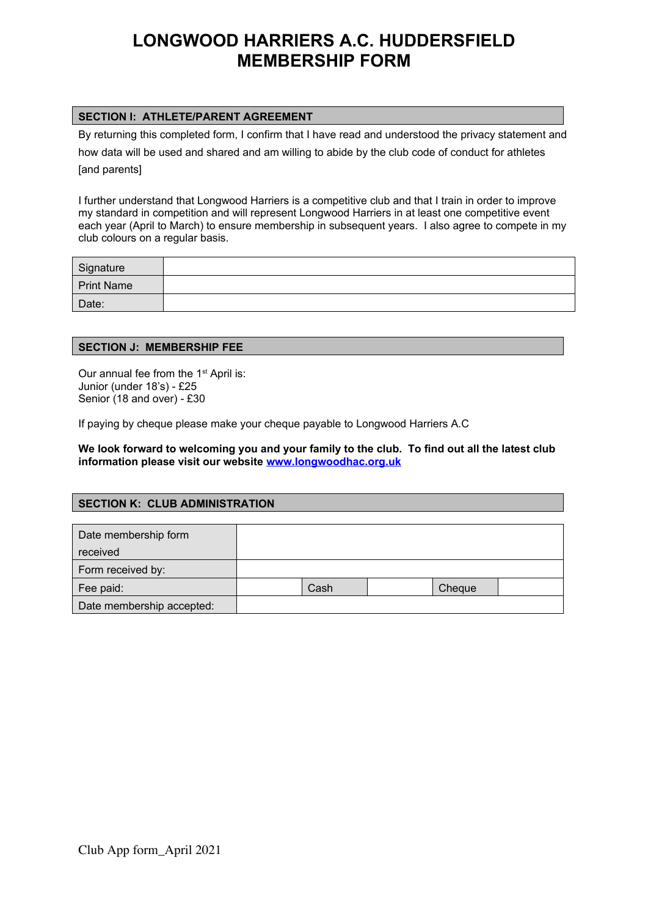#### **SECTION I: ATHLETE/PARENT AGREEMENT**

By returning this completed form, I confirm that I have read and understood the privacy statement and

how data will be used and shared and am willing to abide by the club code of conduct for athletes [and parents]

I further understand that Longwood Harriers is a competitive club and that I train in order to improve my standard in competition and will represent Longwood Harriers in at least one competitive event each year (April to March) to ensure membership in subsequent years. I also agree to compete in my club colours on a regular basis.

| Signature         |  |
|-------------------|--|
| <b>Print Name</b> |  |
| Date:             |  |

#### **SECTION J: MEMBERSHIP FEE**

Our annual fee from the 1<sup>st</sup> April is: Junior (under 18's) - £25 Senior (18 and over) - £30

If paying by cheque please make your cheque payable to Longwood Harriers A.C

**We look forward to welcoming you and your family to the club. To find out all the latest club information please visit our website [www.longwoodhac.org.uk](http://www.longwoodhac.org.uk/)**

### **SECTION K: CLUB ADMINISTRATION**

| Date membership form      |      |        |  |
|---------------------------|------|--------|--|
| received                  |      |        |  |
| Form received by:         |      |        |  |
| Fee paid:                 | Cash | Cheque |  |
| Date membership accepted: |      |        |  |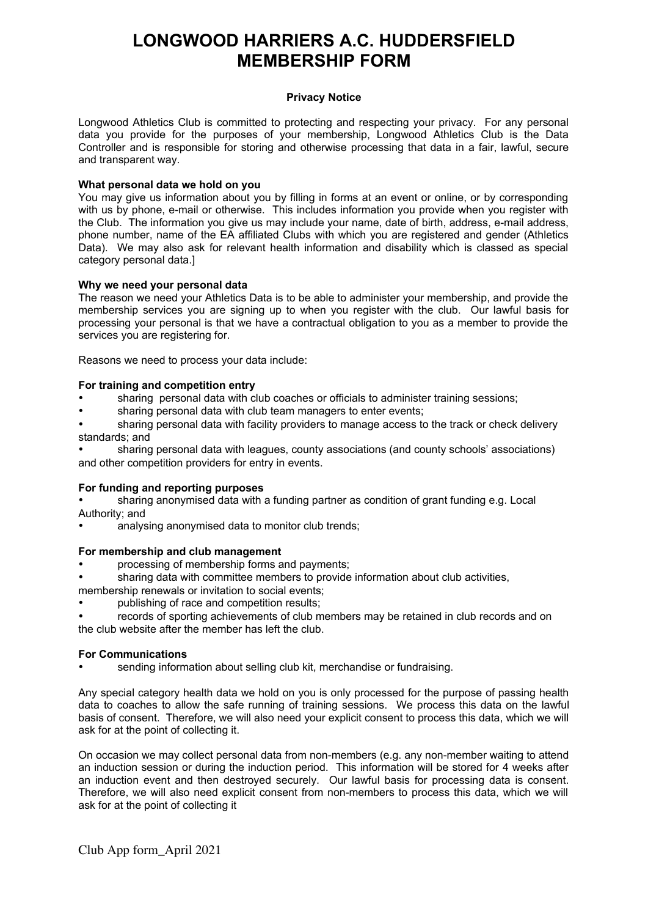#### **Privacy Notice**

Longwood Athletics Club is committed to protecting and respecting your privacy. For any personal data you provide for the purposes of your membership, Longwood Athletics Club is the Data Controller and is responsible for storing and otherwise processing that data in a fair, lawful, secure and transparent way.

#### **What personal data we hold on you**

You may give us information about you by filling in forms at an event or online, or by corresponding with us by phone, e-mail or otherwise. This includes information you provide when you register with the Club. The information you give us may include your name, date of birth, address, e-mail address, phone number, name of the EA affiliated Clubs with which you are registered and gender (Athletics Data). We may also ask for relevant health information and disability which is classed as special category personal data.]

#### **Why we need your personal data**

The reason we need your Athletics Data is to be able to administer your membership, and provide the membership services you are signing up to when you register with the club. Our lawful basis for processing your personal is that we have a contractual obligation to you as a member to provide the services you are registering for.

Reasons we need to process your data include:

#### **For training and competition entry**

- sharing personal data with club coaches or officials to administer training sessions;
- sharing personal data with club team managers to enter events;
- sharing personal data with facility providers to manage access to the track or check delivery standards; and

 sharing personal data with leagues, county associations (and county schools' associations) and other competition providers for entry in events.

#### **For funding and reporting purposes**

- sharing anonymised data with a funding partner as condition of grant funding e.g. Local Authority; and
- analysing anonymised data to monitor club trends;

#### **For membership and club management**

- processing of membership forms and payments;
- sharing data with committee members to provide information about club activities,
- membership renewals or invitation to social events;
- publishing of race and competition results;
- records of sporting achievements of club members may be retained in club records and on the club website after the member has left the club.

#### **For Communications**

sending information about selling club kit, merchandise or fundraising.

Any special category health data we hold on you is only processed for the purpose of passing health data to coaches to allow the safe running of training sessions. We process this data on the lawful basis of consent. Therefore, we will also need your explicit consent to process this data, which we will ask for at the point of collecting it.

On occasion we may collect personal data from non-members (e.g. any non-member waiting to attend an induction session or during the induction period. This information will be stored for 4 weeks after an induction event and then destroyed securely. Our lawful basis for processing data is consent. Therefore, we will also need explicit consent from non-members to process this data, which we will ask for at the point of collecting it